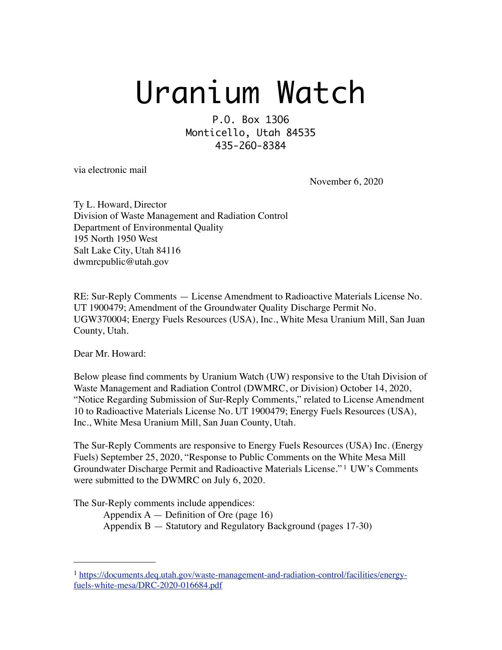# Uranium Watch

P.O. Box 13O6 Monticello, Utah 84535 435-26O-8384

via electronic mail

November 6, 2020

Ty L. Howard, Director Division of Waste Management and Radiation Control Department of Environmental Quality 195 North 1950 West Salt Lake City, Utah 84116 dwmrcpublic@utah.gov

RE: Sur-Reply Comments — License Amendment to Radioactive Materials License No. UT 1900479; Amendment of the Groundwater Quality Discharge Permit No. UGW370004; Energy Fuels Resources (USA), Inc., White Mesa Uranium Mill, San Juan County, Utah.

Dear Mr. Howard:

Below please find comments by Uranium Watch (UW) responsive to the Utah Division of Waste Management and Radiation Control (DWMRC, or Division) October 14, 2020, "Notice Regarding Submission of Sur-Reply Comments," related to License Amendment 10 to Radioactive Materials License No. UT 1900479; Energy Fuels Resources (USA), Inc., White Mesa Uranium Mill, San Juan County, Utah.

The Sur-Reply Comments are responsive to Energy Fuels Resources (USA) Inc. (Energy Fuels) September 25, 2020, "Response to Public Comments on the White Mesa Mill Groundwater Discharge Permit and Radioactive Materials License." [1](#page-0-0) UW's Comments were submitted to the DWMRC on July 6, 2020.

The Sur-Reply comments include appendices:

Appendix  $A -$  Definition of Ore (page 16)

Appendix B — Statutory and Regulatory Background (pages 17-30)

<span id="page-0-0"></span><sup>1</sup> [https://documents.deq.utah.gov/waste-management-and-radiation-control/facilities/energy](https://documents.deq.utah.gov/waste-management-and-radiation-control/facilities/energy-fuels-white-mesa/DRC-2020-016684.pdf)[fuels-white-mesa/DRC-2020-016684.pdf](https://documents.deq.utah.gov/waste-management-and-radiation-control/facilities/energy-fuels-white-mesa/DRC-2020-016684.pdf)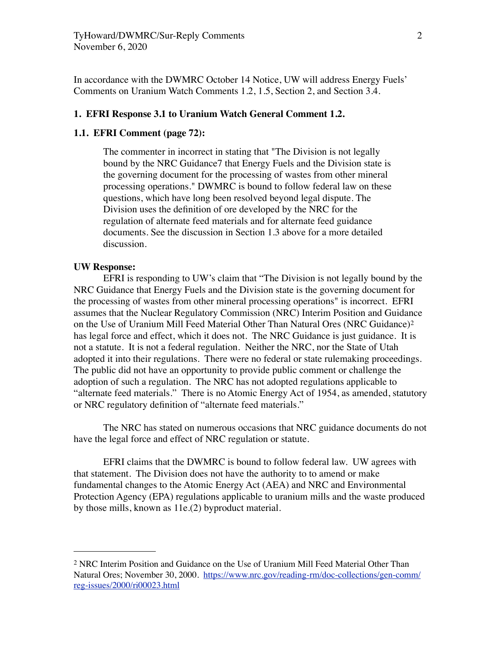In accordance with the DWMRC October 14 Notice, UW will address Energy Fuels' Comments on Uranium Watch Comments 1.2, 1.5, Section 2, and Section 3.4.

### **1. EFRI Response 3.1 to Uranium Watch General Comment 1.2.**

# **1.1. EFRI Comment (page 72):**

The commenter in incorrect in stating that "The Division is not legally bound by the NRC Guidance7 that Energy Fuels and the Division state is the governing document for the processing of wastes from other mineral processing operations." DWMRC is bound to follow federal law on these questions, which have long been resolved beyond legal dispute. The Division uses the definition of ore developed by the NRC for the regulation of alternate feed materials and for alternate feed guidance documents. See the discussion in Section 1.3 above for a more detailed discussion.

# **UW Response:**

EFRI is responding to UW's claim that "The Division is not legally bound by the NRC Guidance that Energy Fuels and the Division state is the governing document for the processing of wastes from other mineral processing operations" is incorrect. EFRI assumes that the Nuclear Regulatory Commission (NRC) Interim Position and Guidance on the Use of Uranium Mill Feed Material Other Than Natural Ores (NRC Guidance)[2](#page-1-0) has legal force and effect, which it does not. The NRC Guidance is just guidance. It is not a statute. It is not a federal regulation. Neither the NRC, nor the State of Utah adopted it into their regulations. There were no federal or state rulemaking proceedings. The public did not have an opportunity to provide public comment or challenge the adoption of such a regulation. The NRC has not adopted regulations applicable to "alternate feed materials." There is no Atomic Energy Act of 1954, as amended, statutory or NRC regulatory definition of "alternate feed materials."

The NRC has stated on numerous occasions that NRC guidance documents do not have the legal force and effect of NRC regulation or statute.

EFRI claims that the DWMRC is bound to follow federal law. UW agrees with that statement. The Division does not have the authority to to amend or make fundamental changes to the Atomic Energy Act (AEA) and NRC and Environmental Protection Agency (EPA) regulations applicable to uranium mills and the waste produced by those mills, known as 11e.(2) byproduct material.

<span id="page-1-0"></span><sup>&</sup>lt;sup>2</sup> NRC Interim Position and Guidance on the Use of Uranium Mill Feed Material Other Than Natural Ores; November 30, 2000. [https://www.nrc.gov/reading-rm/doc-collections/gen-comm/](https://www.nrc.gov/reading-rm/doc-collections/gen-comm/reg-issues/2000/ri00023.html) [reg-issues/2000/ri00023.html](https://www.nrc.gov/reading-rm/doc-collections/gen-comm/reg-issues/2000/ri00023.html)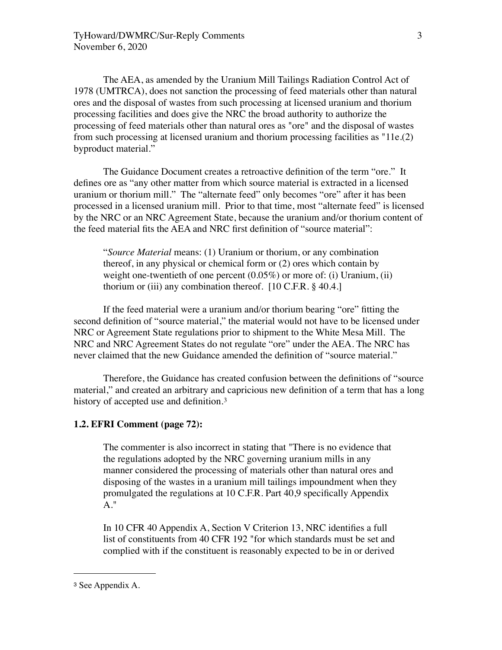The AEA, as amended by the Uranium Mill Tailings Radiation Control Act of 1978 (UMTRCA), does not sanction the processing of feed materials other than natural ores and the disposal of wastes from such processing at licensed uranium and thorium processing facilities and does give the NRC the broad authority to authorize the processing of feed materials other than natural ores as "ore" and the disposal of wastes from such processing at licensed uranium and thorium processing facilities as "11e.(2) byproduct material."

The Guidance Document creates a retroactive definition of the term "ore." It defines ore as "any other matter from which source material is extracted in a licensed uranium or thorium mill." The "alternate feed" only becomes "ore" after it has been processed in a licensed uranium mill. Prior to that time, most "alternate feed" is licensed by the NRC or an NRC Agreement State, because the uranium and/or thorium content of the feed material fits the AEA and NRC first definition of "source material":

"*Source Material* means: (1) Uranium or thorium, or any combination thereof, in any physical or chemical form or (2) ores which contain by weight one-twentieth of one percent (0.05%) or more of: (i) Uranium, (ii) thorium or (iii) any combination thereof.  $[10 \text{ C.F.R.} \$  40.4.]

If the feed material were a uranium and/or thorium bearing "ore" fitting the second definition of "source material," the material would not have to be licensed under NRC or Agreement State regulations prior to shipment to the White Mesa Mill. The NRC and NRC Agreement States do not regulate "ore" under the AEA. The NRC has never claimed that the new Guidance amended the definition of "source material."

Therefore, the Guidance has created confusion between the definitions of "source material," and created an arbitrary and capricious new definition of a term that has a long history of accepted use and definition.<sup>3</sup>

# **1.2. EFRI Comment (page 72):**

The commenter is also incorrect in stating that "There is no evidence that the regulations adopted by the NRC governing uranium mills in any manner considered the processing of materials other than natural ores and disposing of the wastes in a uranium mill tailings impoundment when they promulgated the regulations at 10 C.F.R. Part 40,9 specifically Appendix A."

In 10 CFR 40 Appendix A, Section V Criterion 13, NRC identifies a full list of constituents from 40 CFR 192 "for which standards must be set and complied with if the constituent is reasonably expected to be in or derived

<span id="page-2-0"></span><sup>3</sup> See Appendix A.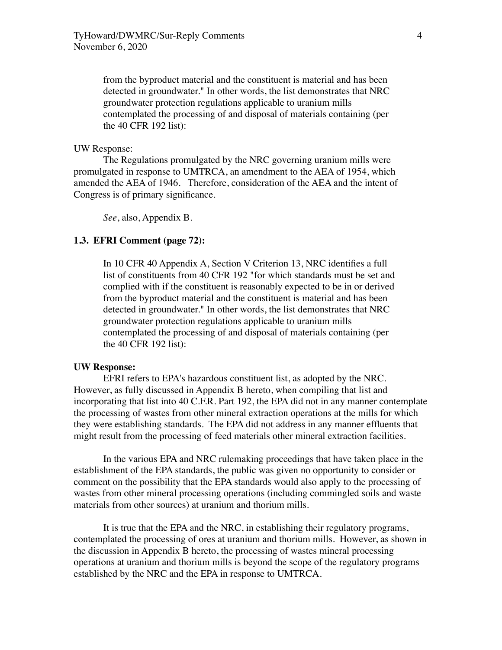from the byproduct material and the constituent is material and has been detected in groundwater." In other words, the list demonstrates that NRC groundwater protection regulations applicable to uranium mills contemplated the processing of and disposal of materials containing (per the 40 CFR 192 list):

## UW Response:

The Regulations promulgated by the NRC governing uranium mills were promulgated in response to UMTRCA, an amendment to the AEA of 1954, which amended the AEA of 1946. Therefore, consideration of the AEA and the intent of Congress is of primary significance.

*See*, also, Appendix B.

# **1.3. EFRI Comment (page 72):**

In 10 CFR 40 Appendix A, Section V Criterion 13, NRC identifies a full list of constituents from 40 CFR 192 "for which standards must be set and complied with if the constituent is reasonably expected to be in or derived from the byproduct material and the constituent is material and has been detected in groundwater." In other words, the list demonstrates that NRC groundwater protection regulations applicable to uranium mills contemplated the processing of and disposal of materials containing (per the 40 CFR 192 list):

# **UW Response:**

EFRI refers to EPA's hazardous constituent list, as adopted by the NRC. However, as fully discussed in Appendix B hereto, when compiling that list and incorporating that list into 40 C.F.R. Part 192, the EPA did not in any manner contemplate the processing of wastes from other mineral extraction operations at the mills for which they were establishing standards. The EPA did not address in any manner effluents that might result from the processing of feed materials other mineral extraction facilities.

In the various EPA and NRC rulemaking proceedings that have taken place in the establishment of the EPA standards, the public was given no opportunity to consider or comment on the possibility that the EPA standards would also apply to the processing of wastes from other mineral processing operations (including commingled soils and waste materials from other sources) at uranium and thorium mills.

It is true that the EPA and the NRC, in establishing their regulatory programs, contemplated the processing of ores at uranium and thorium mills. However, as shown in the discussion in Appendix B hereto, the processing of wastes mineral processing operations at uranium and thorium mills is beyond the scope of the regulatory programs established by the NRC and the EPA in response to UMTRCA.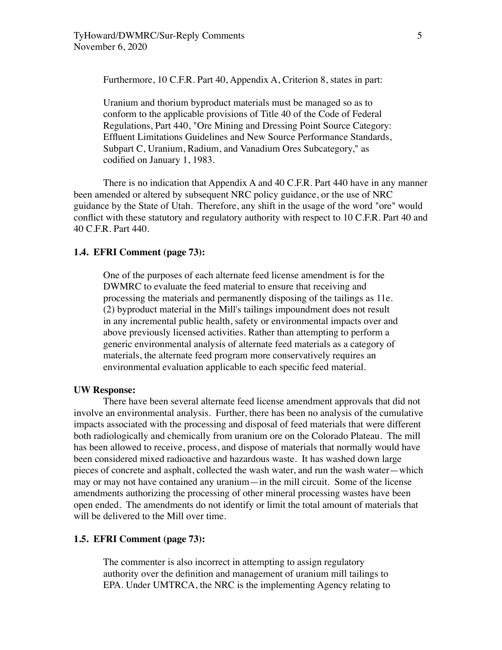Furthermore, 10 C.F.R. Part 40, Appendix A, Criterion 8, states in part:

Uranium and thorium byproduct materials must be managed so as to conform to the applicable provisions of Title 40 of the Code of Federal Regulations, Part 440, "Ore Mining and Dressing Point Source Category: Effluent Limitations Guidelines and New Source Performance Standards, Subpart C, Uranium, Radium, and Vanadium Ores Subcategory," as codified on January 1, 1983.

There is no indication that Appendix A and 40 C.F.R. Part 440 have in any manner been amended or altered by subsequent NRC policy guidance, or the use of NRC guidance by the State of Utah. Therefore, any shift in the usage of the word "ore" would conflict with these statutory and regulatory authority with respect to 10 C.F.R. Part 40 and 40 C.F.R. Part 440.

# **1.4. EFRI Comment (page 73):**

One of the purposes of each alternate feed license amendment is for the DWMRC to evaluate the feed material to ensure that receiving and processing the materials and permanently disposing of the tailings as 11e. (2) byproduct material in the Mill's tailings impoundment does not result in any incremental public health, safety or environmental impacts over and above previously licensed activities. Rather than attempting to perform a generic environmental analysis of alternate feed materials as a category of materials, the alternate feed program more conservatively requires an environmental evaluation applicable to each specific feed material.

## **UW Response:**

There have been several alternate feed license amendment approvals that did not involve an environmental analysis. Further, there has been no analysis of the cumulative impacts associated with the processing and disposal of feed materials that were different both radiologically and chemically from uranium ore on the Colorado Plateau. The mill has been allowed to receive, process, and dispose of materials that normally would have been considered mixed radioactive and hazardous waste. It has washed down large pieces of concrete and asphalt, collected the wash water, and run the wash water—which may or may not have contained any uranium—in the mill circuit. Some of the license amendments authorizing the processing of other mineral processing wastes have been open ended. The amendments do not identify or limit the total amount of materials that will be delivered to the Mill over time.

#### **1.5. EFRI Comment (page 73):**

The commenter is also incorrect in attempting to assign regulatory authority over the definition and management of uranium mill tailings to EPA. Under UMTRCA, the NRC is the implementing Agency relating to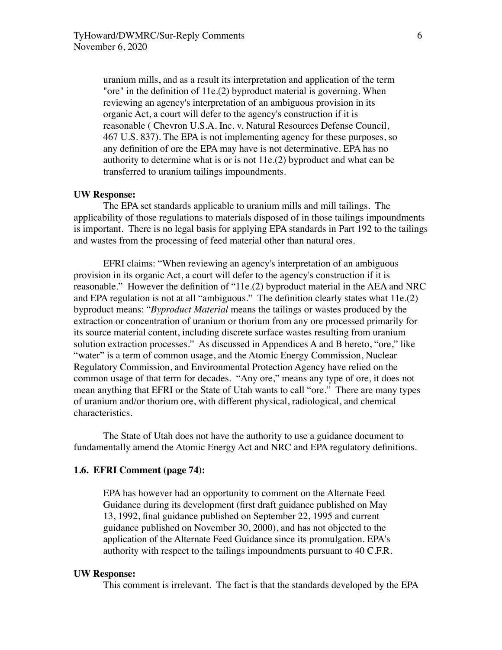uranium mills, and as a result its interpretation and application of the term "ore" in the definition of 11e.(2) byproduct material is governing. When reviewing an agency's interpretation of an ambiguous provision in its organic Act, a court will defer to the agency's construction if it is reasonable ( Chevron U.S.A. Inc. v. Natural Resources Defense Council, 467 U.S. 837). The EPA is not implementing agency for these purposes, so any definition of ore the EPA may have is not determinative. EPA has no authority to determine what is or is not 11e.(2) byproduct and what can be transferred to uranium tailings impoundments.

#### **UW Response:**

The EPA set standards applicable to uranium mills and mill tailings. The applicability of those regulations to materials disposed of in those tailings impoundments is important. There is no legal basis for applying EPA standards in Part 192 to the tailings and wastes from the processing of feed material other than natural ores.

EFRI claims: "When reviewing an agency's interpretation of an ambiguous provision in its organic Act, a court will defer to the agency's construction if it is reasonable." However the definition of "11e.(2) byproduct material in the AEA and NRC and EPA regulation is not at all "ambiguous." The definition clearly states what 11e.(2) byproduct means: "*Byproduct Material* means the tailings or wastes produced by the extraction or concentration of uranium or thorium from any ore processed primarily for its source material content, including discrete surface wastes resulting from uranium solution extraction processes." As discussed in Appendices A and B hereto, "ore," like "water" is a term of common usage, and the Atomic Energy Commission, Nuclear Regulatory Commission, and Environmental Protection Agency have relied on the common usage of that term for decades. "Any ore," means any type of ore, it does not mean anything that EFRI or the State of Utah wants to call "ore." There are many types of uranium and/or thorium ore, with different physical, radiological, and chemical characteristics.

The State of Utah does not have the authority to use a guidance document to fundamentally amend the Atomic Energy Act and NRC and EPA regulatory definitions.

# **1.6. EFRI Comment (page 74):**

EPA has however had an opportunity to comment on the Alternate Feed Guidance during its development (first draft guidance published on May 13, 1992, final guidance published on September 22, 1995 and current guidance published on November 30, 2000), and has not objected to the application of the Alternate Feed Guidance since its promulgation. EPA's authority with respect to the tailings impoundments pursuant to 40 C.F.R.

## **UW Response:**

This comment is irrelevant. The fact is that the standards developed by the EPA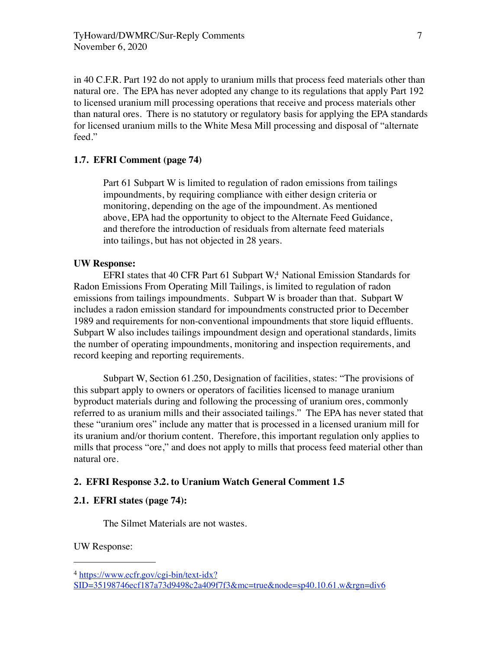in 40 C.F.R. Part 192 do not apply to uranium mills that process feed materials other than natural ore. The EPA has never adopted any change to its regulations that apply Part 192 to licensed uranium mill processing operations that receive and process materials other than natural ores. There is no statutory or regulatory basis for applying the EPA standards for licensed uranium mills to the White Mesa Mill processing and disposal of "alternate feed."

# **1.7. EFRI Comment (page 74)**

Part 61 Subpart W is limited to regulation of radon emissions from tailings impoundments, by requiring compliance with either design criteria or monitoring, depending on the age of the impoundment. As mentioned above, EPA had the opportunity to object to the Alternate Feed Guidance, and therefore the introduction of residuals from alternate feed materials into tailings, but has not objected in 28 years.

# **UW Response:**

EFRI states that 40 CFR Part 61 Subpart W<sub>1</sub> National Emission Standards for Radon Emissions From Operating Mill Tailings, is limited to regulation of radon emissions from tailings impoundments. Subpart W is broader than that. Subpart W includes a radon emission standard for impoundments constructed prior to December 1989 and requirements for non-conventional impoundments that store liquid effluents. Subpart W also includes tailings impoundment design and operational standards, limits the number of operating impoundments, monitoring and inspection requirements, and record keeping and reporting requirements.

Subpart W, Section 61.250, Designation of facilities, states: "The provisions of this subpart apply to owners or operators of facilities licensed to manage uranium byproduct materials during and following the processing of uranium ores, commonly referred to as uranium mills and their associated tailings." The EPA has never stated that these "uranium ores" include any matter that is processed in a licensed uranium mill for its uranium and/or thorium content. Therefore, this important regulation only applies to mills that process "ore," and does not apply to mills that process feed material other than natural ore.

# **2. EFRI Response 3.2. to Uranium Watch General Comment 1.5**

# **2.1. EFRI states (page 74):**

The Silmet Materials are not wastes.

UW Response:

<span id="page-6-0"></span><sup>4</sup> [https://www.ecfr.gov/cgi-bin/text-idx?](https://www.ecfr.gov/cgi-bin/text-idx?SID=35198746ecf187a73d9498c2a409f7f3&mc=true&node=sp40.10.61.w&rgn=div6)

[SID=35198746ecf187a73d9498c2a409f7f3&mc=true&node=sp40.10.61.w&rgn=div6](https://www.ecfr.gov/cgi-bin/text-idx?SID=35198746ecf187a73d9498c2a409f7f3&mc=true&node=sp40.10.61.w&rgn=div6)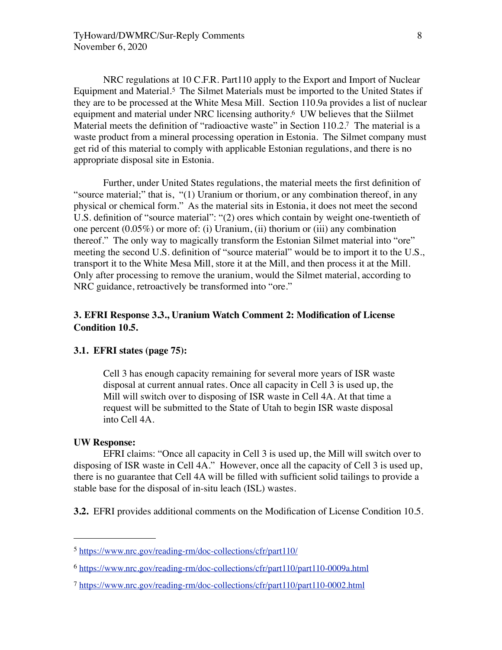NRC regulations at 10 C.F.R. Part110 apply to the Export and Import of Nuclear Equipment and Material.[5](#page-7-0) The Silmet Materials must be imported to the United States if they are to be processed at the White Mesa Mill. Section 110.9a provides a list of nuclear equipment and material under NRC licensing authority[.6](#page-7-1) UW believes that the Siilmet Material meets the definition of "radioactive waste" in Section 110.2[.7](#page-7-2) The material is a waste product from a mineral processing operation in Estonia. The Silmet company must get rid of this material to comply with applicable Estonian regulations, and there is no appropriate disposal site in Estonia.

Further, under United States regulations, the material meets the first definition of "source material;" that is, "(1) Uranium or thorium, or any combination thereof, in any physical or chemical form." As the material sits in Estonia, it does not meet the second U.S. definition of "source material": "(2) ores which contain by weight one-twentieth of one percent (0.05%) or more of: (i) Uranium, (ii) thorium or (iii) any combination thereof." The only way to magically transform the Estonian Silmet material into "ore" meeting the second U.S. definition of "source material" would be to import it to the U.S., transport it to the White Mesa Mill, store it at the Mill, and then process it at the Mill. Only after processing to remove the uranium, would the Silmet material, according to NRC guidance, retroactively be transformed into "ore."

# **3. EFRI Response 3.3., Uranium Watch Comment 2: Modification of License Condition 10.5.**

# **3.1. EFRI states (page 75):**

Cell 3 has enough capacity remaining for several more years of ISR waste disposal at current annual rates. Once all capacity in Cell 3 is used up, the Mill will switch over to disposing of ISR waste in Cell 4A. At that time a request will be submitted to the State of Utah to begin ISR waste disposal into Cell 4A.

# **UW Response:**

EFRI claims: "Once all capacity in Cell 3 is used up, the Mill will switch over to disposing of ISR waste in Cell 4A." However, once all the capacity of Cell 3 is used up, there is no guarantee that Cell 4A will be filled with sufficient solid tailings to provide a stable base for the disposal of in-situ leach (ISL) wastes.

**3.2.** EFRI provides additional comments on the Modification of License Condition 10.5.

<span id="page-7-0"></span><sup>5</sup> <https://www.nrc.gov/reading-rm/doc-collections/cfr/part110/>

<span id="page-7-1"></span><sup>6</sup> <https://www.nrc.gov/reading-rm/doc-collections/cfr/part110/part110-0009a.html>

<span id="page-7-2"></span><sup>7</sup> <https://www.nrc.gov/reading-rm/doc-collections/cfr/part110/part110-0002.html>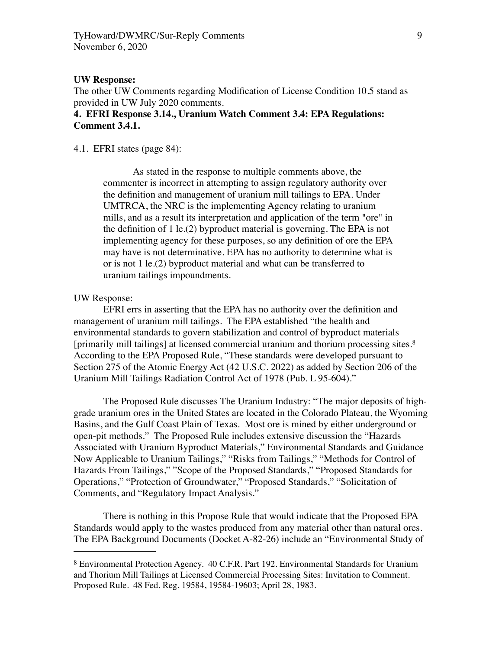#### **UW Response:**

The other UW Comments regarding Modification of License Condition 10.5 stand as provided in UW July 2020 comments.

# **4. EFRI Response 3.14., Uranium Watch Comment 3.4: EPA Regulations: Comment 3.4.1.**

# 4.1. EFRI states (page 84):

As stated in the response to multiple comments above, the commenter is incorrect in attempting to assign regulatory authority over the definition and management of uranium mill tailings to EPA. Under UMTRCA, the NRC is the implementing Agency relating to uranium mills, and as a result its interpretation and application of the term "ore" in the definition of 1 le.(2) byproduct material is governing. The EPA is not implementing agency for these purposes, so any definition of ore the EPA may have is not determinative. EPA has no authority to determine what is or is not 1 le.(2) byproduct material and what can be transferred to uranium tailings impoundments.

# UW Response:

EFRI errs in asserting that the EPA has no authority over the definition and management of uranium mill tailings. The EPA established "the health and environmental standards to govern stabilization and control of byproduct materials [primarily mill tailings] at licensed commercial uranium and thorium processing sites.[8](#page-8-0)  According to the EPA Proposed Rule, "These standards were developed pursuant to Section 275 of the Atomic Energy Act (42 U.S.C. 2022) as added by Section 206 of the Uranium Mill Tailings Radiation Control Act of 1978 (Pub. L 95-604)."

The Proposed Rule discusses The Uranium Industry: "The major deposits of highgrade uranium ores in the United States are located in the Colorado Plateau, the Wyoming Basins, and the Gulf Coast Plain of Texas. Most ore is mined by either underground or open-pit methods." The Proposed Rule includes extensive discussion the "Hazards Associated with Uranium Byproduct Materials," Environmental Standards and Guidance Now Applicable to Uranium Tailings," "Risks from Tailings," "Methods for Control of Hazards From Tailings," "Scope of the Proposed Standards," "Proposed Standards for Operations," "Protection of Groundwater," "Proposed Standards," "Solicitation of Comments, and "Regulatory Impact Analysis."

There is nothing in this Propose Rule that would indicate that the Proposed EPA Standards would apply to the wastes produced from any material other than natural ores. The EPA Background Documents (Docket A-82-26) include an "Environmental Study of

<span id="page-8-0"></span><sup>8</sup> Environmental Protection Agency. 40 C.F.R. Part 192. Environmental Standards for Uranium and Thorium Mill Tailings at Licensed Commercial Processing Sites: Invitation to Comment. Proposed Rule. 48 Fed. Reg, 19584, 19584-19603; April 28, 1983.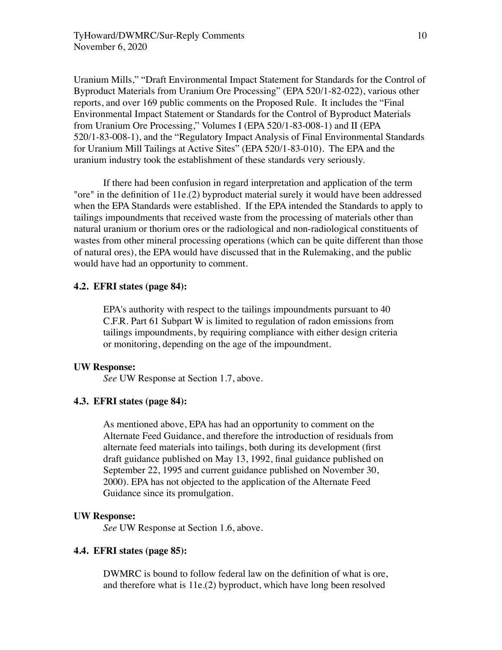Uranium Mills," "Draft Environmental Impact Statement for Standards for the Control of Byproduct Materials from Uranium Ore Processing" (EPA 520/1-82-022), various other reports, and over 169 public comments on the Proposed Rule. It includes the "Final Environmental Impact Statement or Standards for the Control of Byproduct Materials from Uranium Ore Processing," Volumes I (EPA 520/1-83-008-1) and II (EPA 520/1-83-008-1), and the "Regulatory Impact Analysis of Final Environmental Standards for Uranium Mill Tailings at Active Sites" (EPA 520/1-83-010). The EPA and the uranium industry took the establishment of these standards very seriously.

If there had been confusion in regard interpretation and application of the term "ore" in the definition of 11e.(2) byproduct material surely it would have been addressed when the EPA Standards were established. If the EPA intended the Standards to apply to tailings impoundments that received waste from the processing of materials other than natural uranium or thorium ores or the radiological and non-radiological constituents of wastes from other mineral processing operations (which can be quite different than those of natural ores), the EPA would have discussed that in the Rulemaking, and the public would have had an opportunity to comment.

## **4.2. EFRI states (page 84):**

EPA's authority with respect to the tailings impoundments pursuant to 40 C.F.R. Part 61 Subpart W is limited to regulation of radon emissions from tailings impoundments, by requiring compliance with either design criteria or monitoring, depending on the age of the impoundment.

#### **UW Response:**

*See* UW Response at Section 1.7, above.

# **4.3. EFRI states (page 84):**

As mentioned above, EPA has had an opportunity to comment on the Alternate Feed Guidance, and therefore the introduction of residuals from alternate feed materials into tailings, both during its development (first draft guidance published on May 13, 1992, final guidance published on September 22, 1995 and current guidance published on November 30, 2000). EPA has not objected to the application of the Alternate Feed Guidance since its promulgation.

## **UW Response:**

*See* UW Response at Section 1.6, above.

# **4.4. EFRI states (page 85):**

DWMRC is bound to follow federal law on the definition of what is ore, and therefore what is 11e.(2) byproduct, which have long been resolved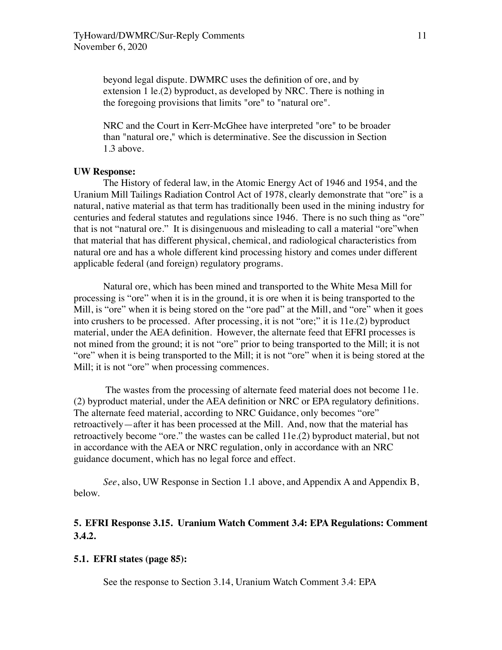beyond legal dispute. DWMRC uses the definition of ore, and by extension 1 le.(2) byproduct, as developed by NRC. There is nothing in the foregoing provisions that limits "ore" to "natural ore".

NRC and the Court in Kerr-McGhee have interpreted "ore" to be broader than "natural ore," which is determinative. See the discussion in Section 1.3 above.

# **UW Response:**

The History of federal law, in the Atomic Energy Act of 1946 and 1954, and the Uranium Mill Tailings Radiation Control Act of 1978, clearly demonstrate that "ore" is a natural, native material as that term has traditionally been used in the mining industry for centuries and federal statutes and regulations since 1946. There is no such thing as "ore" that is not "natural ore." It is disingenuous and misleading to call a material "ore"when that material that has different physical, chemical, and radiological characteristics from natural ore and has a whole different kind processing history and comes under different applicable federal (and foreign) regulatory programs.

Natural ore, which has been mined and transported to the White Mesa Mill for processing is "ore" when it is in the ground, it is ore when it is being transported to the Mill, is "ore" when it is being stored on the "ore pad" at the Mill, and "ore" when it goes into crushers to be processed. After processing, it is not "ore;" it is 11e.(2) byproduct material, under the AEA definition. However, the alternate feed that EFRI processes is not mined from the ground; it is not "ore" prior to being transported to the Mill; it is not "ore" when it is being transported to the Mill; it is not "ore" when it is being stored at the Mill; it is not "ore" when processing commences.

 The wastes from the processing of alternate feed material does not become 11e. (2) byproduct material, under the AEA definition or NRC or EPA regulatory definitions. The alternate feed material, according to NRC Guidance, only becomes "ore" retroactively—after it has been processed at the Mill. And, now that the material has retroactively become "ore." the wastes can be called 11e.(2) byproduct material, but not in accordance with the AEA or NRC regulation, only in accordance with an NRC guidance document, which has no legal force and effect.

*See*, also, UW Response in Section 1.1 above, and Appendix A and Appendix B, below.

# **5. EFRI Response 3.15. Uranium Watch Comment 3.4: EPA Regulations: Comment 3.4.2.**

#### **5.1. EFRI states (page 85):**

See the response to Section 3.14, Uranium Watch Comment 3.4: EPA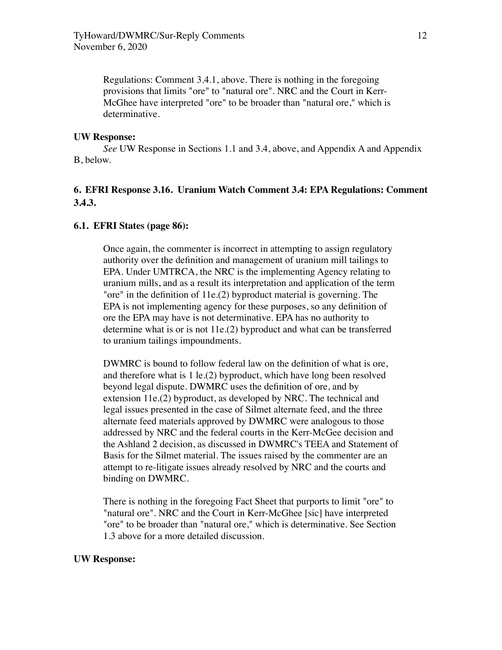Regulations: Comment 3.4.1, above. There is nothing in the foregoing provisions that limits "ore" to "natural ore". NRC and the Court in Kerr-McGhee have interpreted "ore" to be broader than "natural ore," which is determinative.

#### **UW Response:**

*See* UW Response in Sections 1.1 and 3.4, above, and Appendix A and Appendix B, below.

# **6. EFRI Response 3.16. Uranium Watch Comment 3.4: EPA Regulations: Comment 3.4.3.**

# **6.1. EFRI States (page 86):**

Once again, the commenter is incorrect in attempting to assign regulatory authority over the definition and management of uranium mill tailings to EPA. Under UMTRCA, the NRC is the implementing Agency relating to uranium mills, and as a result its interpretation and application of the term "ore" in the definition of 11e.(2) byproduct material is governing. The EPA is not implementing agency for these purposes, so any definition of ore the EPA may have is not determinative. EPA has no authority to determine what is or is not 11e.(2) byproduct and what can be transferred to uranium tailings impoundments.

DWMRC is bound to follow federal law on the definition of what is ore, and therefore what is 1 le.(2) byproduct, which have long been resolved beyond legal dispute. DWMRC uses the definition of ore, and by extension 11e.(2) byproduct, as developed by NRC. The technical and legal issues presented in the case of Silmet alternate feed, and the three alternate feed materials approved by DWMRC were analogous to those addressed by NRC and the federal courts in the Kerr-McGee decision and the Ashland 2 decision, as discussed in DWMRC's TEEA and Statement of Basis for the Silmet material. The issues raised by the commenter are an attempt to re-litigate issues already resolved by NRC and the courts and binding on DWMRC.

There is nothing in the foregoing Fact Sheet that purports to limit "ore" to "natural ore". NRC and the Court in Kerr-McGhee [sic] have interpreted "ore" to be broader than "natural ore," which is determinative. See Section 1.3 above for a more detailed discussion.

#### **UW Response:**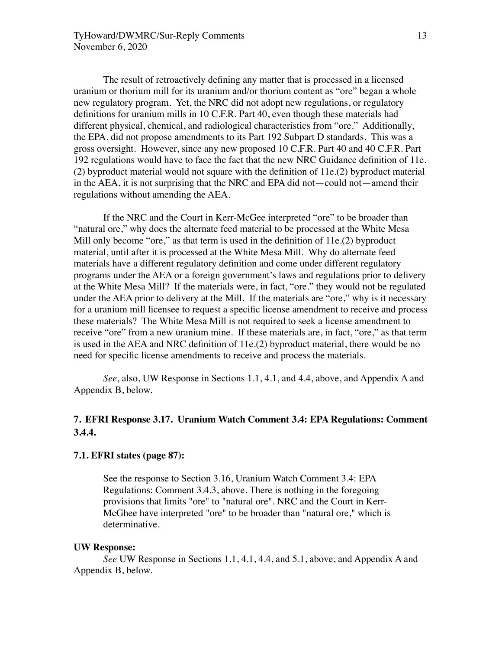The result of retroactively defining any matter that is processed in a licensed uranium or thorium mill for its uranium and/or thorium content as "ore" began a whole new regulatory program. Yet, the NRC did not adopt new regulations, or regulatory definitions for uranium mills in 10 C.F.R. Part 40, even though these materials had different physical, chemical, and radiological characteristics from "ore." Additionally, the EPA, did not propose amendments to its Part 192 Subpart D standards. This was a gross oversight. However, since any new proposed 10 C.F.R. Part 40 and 40 C.F.R. Part 192 regulations would have to face the fact that the new NRC Guidance definition of 11e. (2) byproduct material would not square with the definition of 11e.(2) byproduct material in the AEA, it is not surprising that the NRC and EPA did not—could not—amend their regulations without amending the AEA.

If the NRC and the Court in Kerr-McGee interpreted "ore" to be broader than "natural ore," why does the alternate feed material to be processed at the White Mesa Mill only become "ore," as that term is used in the definition of 11e.(2) byproduct material, until after it is processed at the White Mesa Mill. Why do alternate feed materials have a different regulatory definition and come under different regulatory programs under the AEA or a foreign government's laws and regulations prior to delivery at the White Mesa Mill? If the materials were, in fact, "ore." they would not be regulated under the AEA prior to delivery at the Mill. If the materials are "ore," why is it necessary for a uranium mill licensee to request a specific license amendment to receive and process these materials? The White Mesa Mill is not required to seek a license amendment to receive "ore" from a new uranium mine. If these materials are, in fact, "ore," as that term is used in the AEA and NRC definition of 11e.(2) byproduct material, there would be no need for specific license amendments to receive and process the materials.

*See*, also, UW Response in Sections 1.1, 4.1, and 4.4, above, and Appendix A and Appendix B, below.

# **7. EFRI Response 3.17. Uranium Watch Comment 3.4: EPA Regulations: Comment 3.4.4.**

# **7.1. EFRI states (page 87):**

See the response to Section 3.16, Uranium Watch Comment 3.4: EPA Regulations: Comment 3.4.3, above. There is nothing in the foregoing provisions that limits "ore" to "natural ore". NRC and the Court in Kerr-McGhee have interpreted "ore" to be broader than "natural ore," which is determinative.

## **UW Response:**

*See* UW Response in Sections 1.1, 4.1, 4.4, and 5.1, above, and Appendix A and Appendix B, below.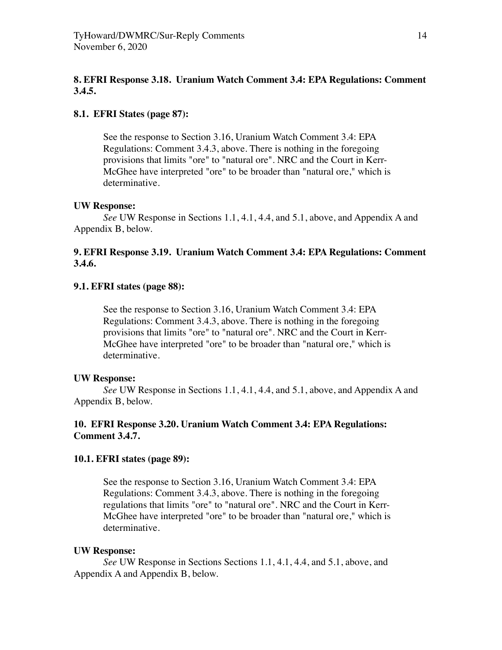# **8. EFRI Response 3.18. Uranium Watch Comment 3.4: EPA Regulations: Comment 3.4.5.**

# **8.1. EFRI States (page 87):**

See the response to Section 3.16, Uranium Watch Comment 3.4: EPA Regulations: Comment 3.4.3, above. There is nothing in the foregoing provisions that limits "ore" to "natural ore". NRC and the Court in Kerr-McGhee have interpreted "ore" to be broader than "natural ore," which is determinative.

#### **UW Response:**

*See* UW Response in Sections 1.1, 4.1, 4.4, and 5.1, above, and Appendix A and Appendix B, below.

# **9. EFRI Response 3.19. Uranium Watch Comment 3.4: EPA Regulations: Comment 3.4.6.**

# **9.1. EFRI states (page 88):**

See the response to Section 3.16, Uranium Watch Comment 3.4: EPA Regulations: Comment 3.4.3, above. There is nothing in the foregoing provisions that limits "ore" to "natural ore". NRC and the Court in Kerr-McGhee have interpreted "ore" to be broader than "natural ore," which is determinative.

#### **UW Response:**

*See* UW Response in Sections 1.1, 4.1, 4.4, and 5.1, above, and Appendix A and Appendix B, below.

# **10. EFRI Response 3.20. Uranium Watch Comment 3.4: EPA Regulations: Comment 3.4.7.**

#### **10.1. EFRI states (page 89):**

See the response to Section 3.16, Uranium Watch Comment 3.4: EPA Regulations: Comment 3.4.3, above. There is nothing in the foregoing regulations that limits "ore" to "natural ore". NRC and the Court in Kerr-McGhee have interpreted "ore" to be broader than "natural ore," which is determinative.

### **UW Response:**

*See* UW Response in Sections Sections 1.1, 4.1, 4.4, and 5.1, above, and Appendix A and Appendix B, below.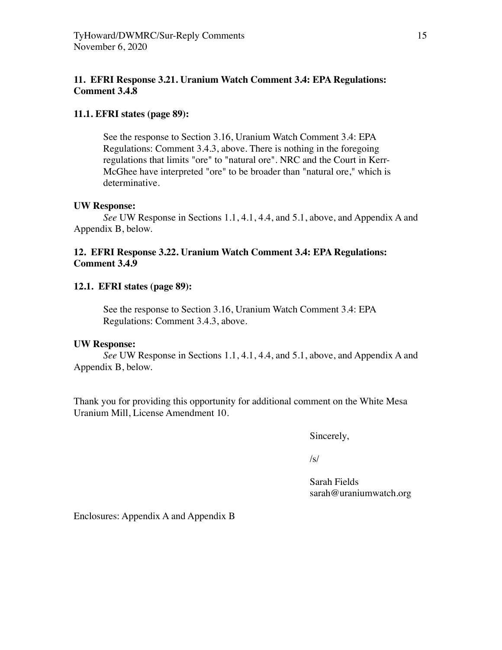# **11. EFRI Response 3.21. Uranium Watch Comment 3.4: EPA Regulations: Comment 3.4.8**

# **11.1. EFRI states (page 89):**

See the response to Section 3.16, Uranium Watch Comment 3.4: EPA Regulations: Comment 3.4.3, above. There is nothing in the foregoing regulations that limits "ore" to "natural ore". NRC and the Court in Kerr-McGhee have interpreted "ore" to be broader than "natural ore," which is determinative.

# **UW Response:**

*See* UW Response in Sections 1.1, 4.1, 4.4, and 5.1, above, and Appendix A and Appendix B, below.

# **12. EFRI Response 3.22. Uranium Watch Comment 3.4: EPA Regulations: Comment 3.4.9**

# **12.1. EFRI states (page 89):**

See the response to Section 3.16, Uranium Watch Comment 3.4: EPA Regulations: Comment 3.4.3, above.

# **UW Response:**

*See* UW Response in Sections 1.1, 4.1, 4.4, and 5.1, above, and Appendix A and Appendix B, below.

Thank you for providing this opportunity for additional comment on the White Mesa Uranium Mill, License Amendment 10.

 Sincerely,

 $\sqrt{s}$ /s/

 Sarah Fields sarah@uraniumwatch.org

Enclosures: Appendix A and Appendix B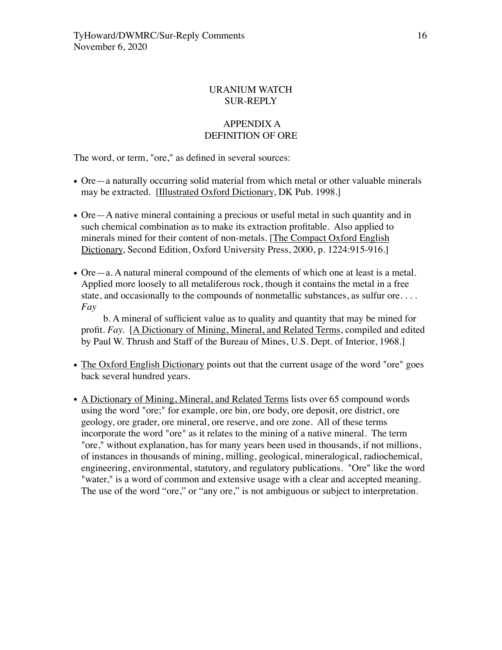# URANIUM WATCH SUR-REPLY

# APPENDIX A DEFINITION OF ORE

The word, or term, "ore," as defined in several sources:

- Ore—a naturally occurring solid material from which metal or other valuable minerals may be extracted. [Illustrated Oxford Dictionary, DK Pub. 1998.]
- Ore—A native mineral containing a precious or useful metal in such quantity and in such chemical combination as to make its extraction profitable. Also applied to minerals mined for their content of non-metals. [The Compact Oxford English Dictionary, Second Edition, Oxford University Press, 2000, p. 1224:915-916.]
- Ore—a. A natural mineral compound of the elements of which one at least is a metal. Applied more loosely to all metaliferous rock, though it contains the metal in a free state, and occasionally to the compounds of nonmetallic substances, as sulfur ore. . . . *Fay*

 b. A mineral of sufficient value as to quality and quantity that may be mined for profit. *Fay.* [A Dictionary of Mining, Mineral, and Related Terms, compiled and edited by Paul W. Thrush and Staff of the Bureau of Mines, U.S. Dept. of Interior, 1968.]

- The Oxford English Dictionary points out that the current usage of the word "ore" goes back several hundred years.
- A Dictionary of Mining, Mineral, and Related Terms lists over 65 compound words using the word "ore;" for example, ore bin, ore body, ore deposit, ore district, ore geology, ore grader, ore mineral, ore reserve, and ore zone. All of these terms incorporate the word "ore" as it relates to the mining of a native mineral. The term "ore," without explanation, has for many years been used in thousands, if not millions, of instances in thousands of mining, milling, geological, mineralogical, radiochemical, engineering, environmental, statutory, and regulatory publications. "Ore" like the word "water," is a word of common and extensive usage with a clear and accepted meaning. The use of the word "ore," or "any ore," is not ambiguous or subject to interpretation.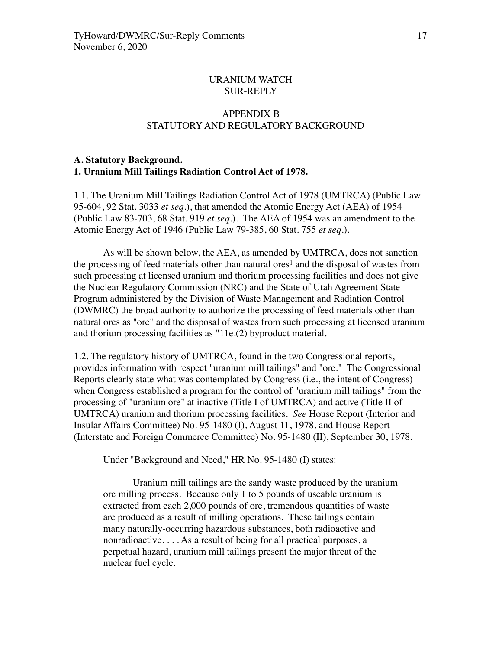# URANIUM WATCH SUR-REPLY

# APPENDIX B STATUTORY AND REGULATORY BACKGROUND

# **A. Statutory Background. 1. Uranium Mill Tailings Radiation Control Act of 1978.**

1.1. The Uranium Mill Tailings Radiation Control Act of 1978 (UMTRCA) (Public Law 95-604, 92 Stat. 3033 *et seq*.), that amended the Atomic Energy Act (AEA) of 1954 (Public Law 83-703, 68 Stat. 919 *et.seq*.). The AEA of 1954 was an amendment to the Atomic Energy Act of 1946 (Public Law 79-385, 60 Stat. 755 *et seq*.).

As will be shown below, the AEA, as amended by UMTRCA, does not sanction the processing of feed materials other than natural ores<sup>1</sup> and the disposal of wastes from such processing at licensed uranium and thorium processing facilities and does not give the Nuclear Regulatory Commission (NRC) and the State of Utah Agreement State Program administered by the Division of Waste Management and Radiation Control (DWMRC) the broad authority to authorize the processing of feed materials other than natural ores as "ore" and the disposal of wastes from such processing at licensed uranium and thorium processing facilities as "11e.(2) byproduct material.

1.2. The regulatory history of UMTRCA, found in the two Congressional reports, provides information with respect "uranium mill tailings" and "ore." The Congressional Reports clearly state what was contemplated by Congress (i.e., the intent of Congress) when Congress established a program for the control of "uranium mill tailings" from the processing of "uranium ore" at inactive (Title I of UMTRCA) and active (Title II of UMTRCA) uranium and thorium processing facilities. *See* House Report (Interior and Insular Affairs Committee) No. 95-1480 (I), August 11, 1978, and House Report (Interstate and Foreign Commerce Committee) No. 95-1480 (II), September 30, 1978.

Under "Background and Need," HR No. 95-1480 (I) states:

Uranium mill tailings are the sandy waste produced by the uranium ore milling process. Because only 1 to 5 pounds of useable uranium is extracted from each 2,000 pounds of ore, tremendous quantities of waste are produced as a result of milling operations. These tailings contain many naturally-occurring hazardous substances, both radioactive and nonradioactive. . . . As a result of being for all practical purposes, a perpetual hazard, uranium mill tailings present the major threat of the nuclear fuel cycle.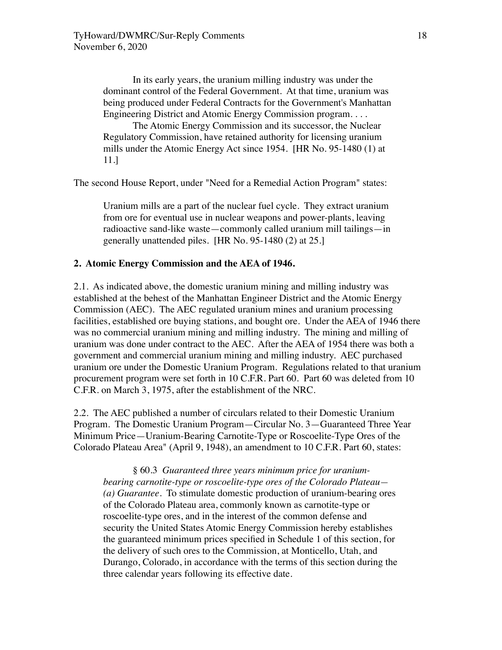In its early years, the uranium milling industry was under the dominant control of the Federal Government. At that time, uranium was being produced under Federal Contracts for the Government's Manhattan Engineering District and Atomic Energy Commission program. . . .

The Atomic Energy Commission and its successor, the Nuclear Regulatory Commission, have retained authority for licensing uranium mills under the Atomic Energy Act since 1954. [HR No. 95-1480 (1) at 11.]

The second House Report, under "Need for a Remedial Action Program" states:

Uranium mills are a part of the nuclear fuel cycle. They extract uranium from ore for eventual use in nuclear weapons and power-plants, leaving radioactive sand-like waste—commonly called uranium mill tailings—in generally unattended piles. [HR No. 95-1480 (2) at 25.]

# **2. Atomic Energy Commission and the AEA of 1946.**

2.1. As indicated above, the domestic uranium mining and milling industry was established at the behest of the Manhattan Engineer District and the Atomic Energy Commission (AEC). The AEC regulated uranium mines and uranium processing facilities, established ore buying stations, and bought ore. Under the AEA of 1946 there was no commercial uranium mining and milling industry. The mining and milling of uranium was done under contract to the AEC. After the AEA of 1954 there was both a government and commercial uranium mining and milling industry. AEC purchased uranium ore under the Domestic Uranium Program. Regulations related to that uranium procurement program were set forth in 10 C.F.R. Part 60. Part 60 was deleted from 10 C.F.R. on March 3, 1975, after the establishment of the NRC.

2.2. The AEC published a number of circulars related to their Domestic Uranium Program. The Domestic Uranium Program—Circular No. 3—Guaranteed Three Year Minimum Price—Uranium-Bearing Carnotite-Type or Roscoelite-Type Ores of the Colorado Plateau Area" (April 9, 1948), an amendment to 10 C.F.R. Part 60, states:

§ 60.3 *Guaranteed three years minimum price for uraniumbearing carnotite-type or roscoelite-type ores of the Colorado Plateau— (a) Guarantee.* To stimulate domestic production of uranium-bearing ores of the Colorado Plateau area, commonly known as carnotite-type or roscoelite-type ores, and in the interest of the common defense and security the United States Atomic Energy Commission hereby establishes the guaranteed minimum prices specified in Schedule 1 of this section, for the delivery of such ores to the Commission, at Monticello, Utah, and Durango, Colorado, in accordance with the terms of this section during the three calendar years following its effective date.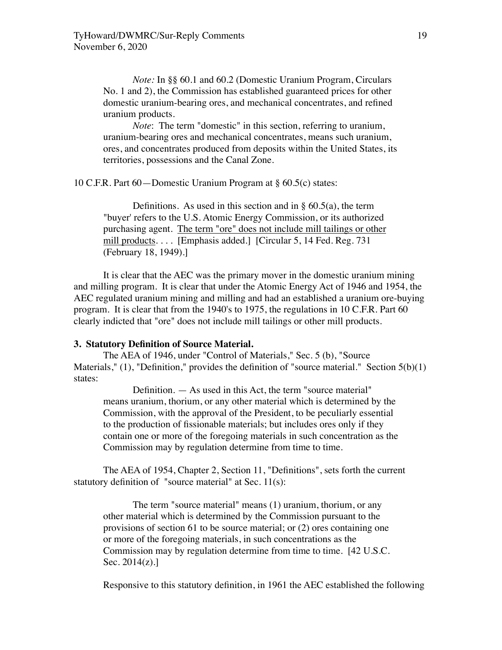*Note:* In §§ 60.1 and 60.2 (Domestic Uranium Program, Circulars No. 1 and 2), the Commission has established guaranteed prices for other domestic uranium-bearing ores, and mechanical concentrates, and refined uranium products.

*Note*: The term "domestic" in this section, referring to uranium, uranium-bearing ores and mechanical concentrates, means such uranium, ores, and concentrates produced from deposits within the United States, its territories, possessions and the Canal Zone.

10 C.F.R. Part 60—Domestic Uranium Program at § 60.5(c) states:

Definitions. As used in this section and in  $\S$  60.5(a), the term "buyer' refers to the U.S. Atomic Energy Commission, or its authorized purchasing agent. The term "ore" does not include mill tailings or other mill products.... [Emphasis added.] [Circular 5, 14 Fed. Reg. 731] (February 18, 1949).]

It is clear that the AEC was the primary mover in the domestic uranium mining and milling program. It is clear that under the Atomic Energy Act of 1946 and 1954, the AEC regulated uranium mining and milling and had an established a uranium ore-buying program. It is clear that from the 1940's to 1975, the regulations in 10 C.F.R. Part 60 clearly indicted that "ore" does not include mill tailings or other mill products.

#### **3. Statutory Definition of Source Material.**

The AEA of 1946, under "Control of Materials," Sec. 5 (b), "Source Materials,"  $(1)$ , "Definition," provides the definition of "source material." Section  $5(b)(1)$ states:

Definition. — As used in this Act, the term "source material" means uranium, thorium, or any other material which is determined by the Commission, with the approval of the President, to be peculiarly essential to the production of fissionable materials; but includes ores only if they contain one or more of the foregoing materials in such concentration as the Commission may by regulation determine from time to time.

The AEA of 1954, Chapter 2, Section 11, "Definitions", sets forth the current statutory definition of "source material" at Sec. 11(s):

The term "source material" means (1) uranium, thorium, or any other material which is determined by the Commission pursuant to the provisions of section 61 to be source material; or (2) ores containing one or more of the foregoing materials, in such concentrations as the Commission may by regulation determine from time to time. [42 U.S.C. Sec. 2014(z).]

Responsive to this statutory definition, in 1961 the AEC established the following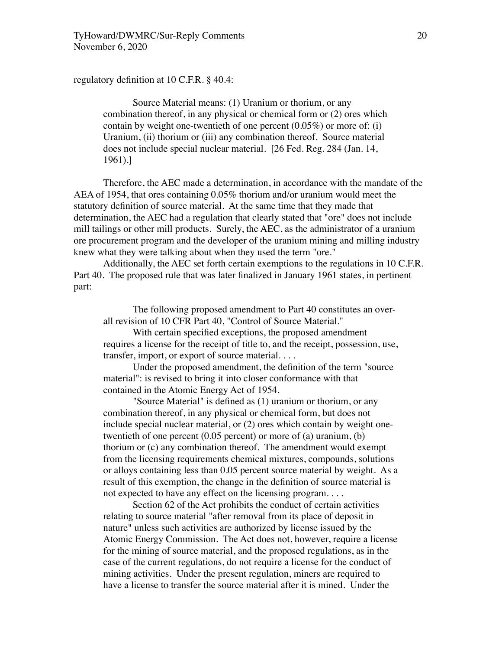regulatory definition at 10 C.F.R. § 40.4:

Source Material means: (1) Uranium or thorium, or any combination thereof, in any physical or chemical form or (2) ores which contain by weight one-twentieth of one percent  $(0.05\%)$  or more of: (i) Uranium, (ii) thorium or (iii) any combination thereof. Source material does not include special nuclear material. [26 Fed. Reg. 284 (Jan. 14, 1961).]

Therefore, the AEC made a determination, in accordance with the mandate of the AEA of 1954, that ores containing 0.05% thorium and/or uranium would meet the statutory definition of source material. At the same time that they made that determination, the AEC had a regulation that clearly stated that "ore" does not include mill tailings or other mill products. Surely, the AEC, as the administrator of a uranium ore procurement program and the developer of the uranium mining and milling industry knew what they were talking about when they used the term "ore."

Additionally, the AEC set forth certain exemptions to the regulations in 10 C.F.R. Part 40. The proposed rule that was later finalized in January 1961 states, in pertinent part:

The following proposed amendment to Part 40 constitutes an overall revision of 10 CFR Part 40, "Control of Source Material."

With certain specified exceptions, the proposed amendment requires a license for the receipt of title to, and the receipt, possession, use, transfer, import, or export of source material. . . .

Under the proposed amendment, the definition of the term "source material": is revised to bring it into closer conformance with that contained in the Atomic Energy Act of 1954.

"Source Material" is defined as (1) uranium or thorium, or any combination thereof, in any physical or chemical form, but does not include special nuclear material, or (2) ores which contain by weight onetwentieth of one percent (0.05 percent) or more of (a) uranium, (b) thorium or (c) any combination thereof. The amendment would exempt from the licensing requirements chemical mixtures, compounds, solutions or alloys containing less than 0.05 percent source material by weight. As a result of this exemption, the change in the definition of source material is not expected to have any effect on the licensing program. . . .

Section 62 of the Act prohibits the conduct of certain activities relating to source material "after removal from its place of deposit in nature" unless such activities are authorized by license issued by the Atomic Energy Commission. The Act does not, however, require a license for the mining of source material, and the proposed regulations, as in the case of the current regulations, do not require a license for the conduct of mining activities. Under the present regulation, miners are required to have a license to transfer the source material after it is mined. Under the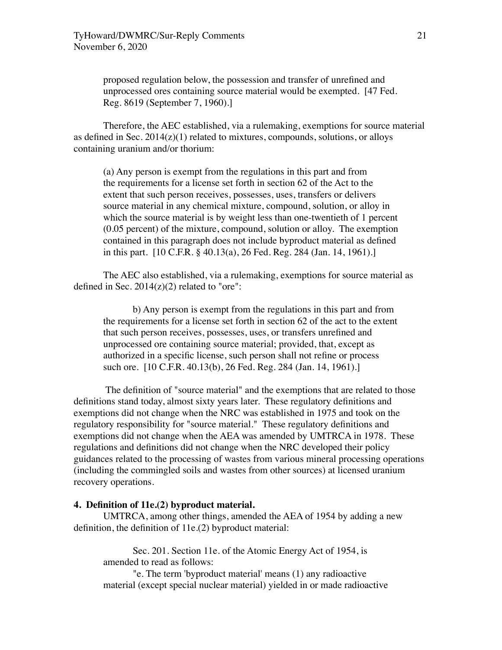proposed regulation below, the possession and transfer of unrefined and unprocessed ores containing source material would be exempted. [47 Fed. Reg. 8619 (September 7, 1960).]

Therefore, the AEC established, via a rulemaking, exemptions for source material as defined in Sec.  $2014(z)(1)$  related to mixtures, compounds, solutions, or alloys containing uranium and/or thorium:

(a) Any person is exempt from the regulations in this part and from the requirements for a license set forth in section 62 of the Act to the extent that such person receives, possesses, uses, transfers or delivers source material in any chemical mixture, compound, solution, or alloy in which the source material is by weight less than one-twentieth of 1 percent (0.05 percent) of the mixture, compound, solution or alloy. The exemption contained in this paragraph does not include byproduct material as defined in this part. [10 C.F.R. § 40.13(a), 26 Fed. Reg. 284 (Jan. 14, 1961).]

The AEC also established, via a rulemaking, exemptions for source material as defined in Sec.  $2014(z)(2)$  related to "ore":

b) Any person is exempt from the regulations in this part and from the requirements for a license set forth in section 62 of the act to the extent that such person receives, possesses, uses, or transfers unrefined and unprocessed ore containing source material; provided, that, except as authorized in a specific license, such person shall not refine or process such ore. [10 C.F.R. 40.13(b), 26 Fed. Reg. 284 (Jan. 14, 1961).]

 The definition of "source material" and the exemptions that are related to those definitions stand today, almost sixty years later. These regulatory definitions and exemptions did not change when the NRC was established in 1975 and took on the regulatory responsibility for "source material." These regulatory definitions and exemptions did not change when the AEA was amended by UMTRCA in 1978. These regulations and definitions did not change when the NRC developed their policy guidances related to the processing of wastes from various mineral processing operations (including the commingled soils and wastes from other sources) at licensed uranium recovery operations.

#### **4. Definition of 11e.(2) byproduct material.**

UMTRCA, among other things, amended the AEA of 1954 by adding a new definition, the definition of 11e.(2) byproduct material:

Sec. 201. Section 11e. of the Atomic Energy Act of 1954, is amended to read as follows:

"e. The term 'byproduct material' means (1) any radioactive material (except special nuclear material) yielded in or made radioactive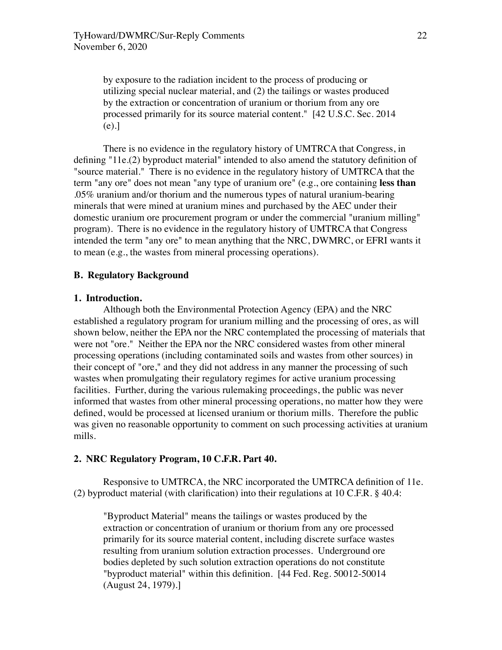by exposure to the radiation incident to the process of producing or utilizing special nuclear material, and (2) the tailings or wastes produced by the extraction or concentration of uranium or thorium from any ore processed primarily for its source material content." [42 U.S.C. Sec. 2014 (e).]

There is no evidence in the regulatory history of UMTRCA that Congress, in defining "11e.(2) byproduct material" intended to also amend the statutory definition of "source material." There is no evidence in the regulatory history of UMTRCA that the term "any ore" does not mean "any type of uranium ore" (e.g., ore containing **less than**  .05% uranium and/or thorium and the numerous types of natural uranium-bearing minerals that were mined at uranium mines and purchased by the AEC under their domestic uranium ore procurement program or under the commercial "uranium milling" program). There is no evidence in the regulatory history of UMTRCA that Congress intended the term "any ore" to mean anything that the NRC, DWMRC, or EFRI wants it to mean (e.g., the wastes from mineral processing operations).

# **B. Regulatory Background**

# **1. Introduction.**

Although both the Environmental Protection Agency (EPA) and the NRC established a regulatory program for uranium milling and the processing of ores, as will shown below, neither the EPA nor the NRC contemplated the processing of materials that were not "ore." Neither the EPA nor the NRC considered wastes from other mineral processing operations (including contaminated soils and wastes from other sources) in their concept of "ore," and they did not address in any manner the processing of such wastes when promulgating their regulatory regimes for active uranium processing facilities. Further, during the various rulemaking proceedings, the public was never informed that wastes from other mineral processing operations, no matter how they were defined, would be processed at licensed uranium or thorium mills. Therefore the public was given no reasonable opportunity to comment on such processing activities at uranium mills.

#### **2. NRC Regulatory Program, 10 C.F.R. Part 40.**

Responsive to UMTRCA, the NRC incorporated the UMTRCA definition of 11e. (2) byproduct material (with clarification) into their regulations at 10 C.F.R. § 40.4:

"Byproduct Material" means the tailings or wastes produced by the extraction or concentration of uranium or thorium from any ore processed primarily for its source material content, including discrete surface wastes resulting from uranium solution extraction processes. Underground ore bodies depleted by such solution extraction operations do not constitute "byproduct material" within this definition. [44 Fed. Reg. 50012-50014 (August 24, 1979).]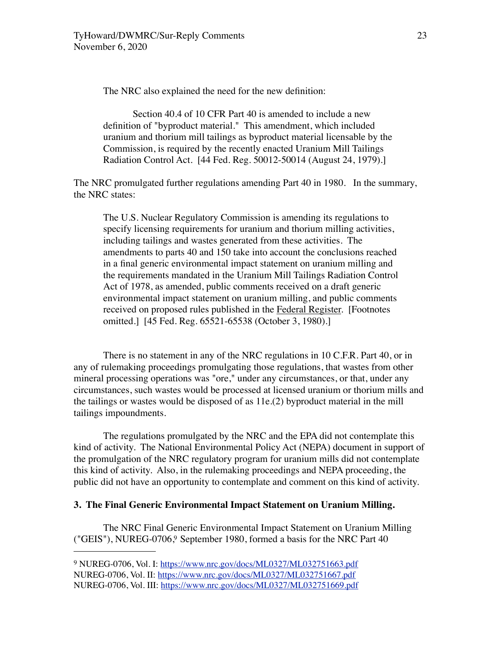The NRC also explained the need for the new definition:

Section 40.4 of 10 CFR Part 40 is amended to include a new definition of "byproduct material." This amendment, which included uranium and thorium mill tailings as byproduct material licensable by the Commission, is required by the recently enacted Uranium Mill Tailings Radiation Control Act. [44 Fed. Reg. 50012-50014 (August 24, 1979).]

The NRC promulgated further regulations amending Part 40 in 1980. In the summary, the NRC states:

The U.S. Nuclear Regulatory Commission is amending its regulations to specify licensing requirements for uranium and thorium milling activities, including tailings and wastes generated from these activities. The amendments to parts 40 and 150 take into account the conclusions reached in a final generic environmental impact statement on uranium milling and the requirements mandated in the Uranium Mill Tailings Radiation Control Act of 1978, as amended, public comments received on a draft generic environmental impact statement on uranium milling, and public comments received on proposed rules published in the Federal Register. [Footnotes omitted.] [45 Fed. Reg. 65521-65538 (October 3, 1980).]

There is no statement in any of the NRC regulations in 10 C.F.R. Part 40, or in any of rulemaking proceedings promulgating those regulations, that wastes from other mineral processing operations was "ore," under any circumstances, or that, under any circumstances, such wastes would be processed at licensed uranium or thorium mills and the tailings or wastes would be disposed of as 11e.(2) byproduct material in the mill tailings impoundments.

The regulations promulgated by the NRC and the EPA did not contemplate this kind of activity. The National Environmental Policy Act (NEPA) document in support of the promulgation of the NRC regulatory program for uranium mills did not contemplate this kind of activity. Also, in the rulemaking proceedings and NEPA proceeding, the public did not have an opportunity to contemplate and comment on this kind of activity.

#### **3. The Final Generic Environmental Impact Statement on Uranium Milling.**

The NRC Final Generic Environmental Impact Statement on Uranium Milling ("GEIS"), NUREG-0706.9 September 1980, formed a basis for the NRC Part 40

<span id="page-22-0"></span><sup>&</sup>lt;sup>9</sup> NUREG-0706, Vol. I: <https://www.nrc.gov/docs/ML0327/ML032751663.pdf> NUREG-0706, Vol. II: <https://www.nrc.gov/docs/ML0327/ML032751667.pdf> NUREG-0706, Vol. III:<https://www.nrc.gov/docs/ML0327/ML032751669.pdf>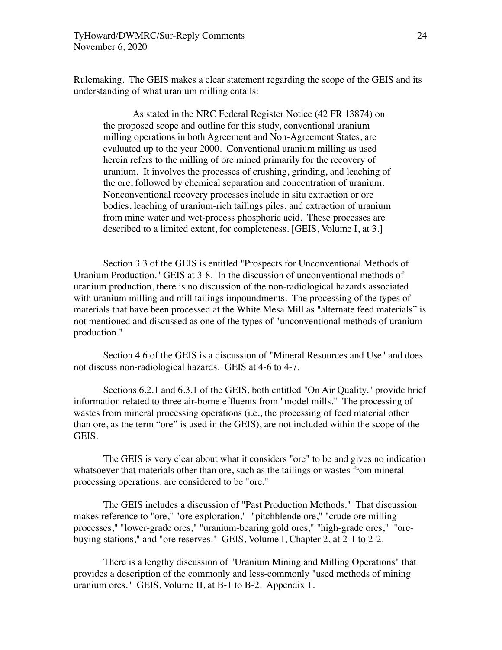Rulemaking. The GEIS makes a clear statement regarding the scope of the GEIS and its understanding of what uranium milling entails:

As stated in the NRC Federal Register Notice (42 FR 13874) on the proposed scope and outline for this study, conventional uranium milling operations in both Agreement and Non-Agreement States, are evaluated up to the year 2000. Conventional uranium milling as used herein refers to the milling of ore mined primarily for the recovery of uranium. It involves the processes of crushing, grinding, and leaching of the ore, followed by chemical separation and concentration of uranium. Nonconventional recovery processes include in situ extraction or ore bodies, leaching of uranium-rich tailings piles, and extraction of uranium from mine water and wet-process phosphoric acid. These processes are described to a limited extent, for completeness. [GEIS, Volume I, at 3.]

Section 3.3 of the GEIS is entitled "Prospects for Unconventional Methods of Uranium Production." GEIS at 3-8. In the discussion of unconventional methods of uranium production, there is no discussion of the non-radiological hazards associated with uranium milling and mill tailings impoundments. The processing of the types of materials that have been processed at the White Mesa Mill as "alternate feed materials" is not mentioned and discussed as one of the types of "unconventional methods of uranium production."

Section 4.6 of the GEIS is a discussion of "Mineral Resources and Use" and does not discuss non-radiological hazards. GEIS at 4-6 to 4-7.

Sections 6.2.1 and 6.3.1 of the GEIS, both entitled "On Air Quality," provide brief information related to three air-borne effluents from "model mills." The processing of wastes from mineral processing operations (i.e., the processing of feed material other than ore, as the term "ore" is used in the GEIS), are not included within the scope of the GEIS.

The GEIS is very clear about what it considers "ore" to be and gives no indication whatsoever that materials other than ore, such as the tailings or wastes from mineral processing operations. are considered to be "ore."

The GEIS includes a discussion of "Past Production Methods." That discussion makes reference to "ore," "ore exploration," "pitchblende ore," "crude ore milling processes," "lower-grade ores," "uranium-bearing gold ores," "high-grade ores," "orebuying stations," and "ore reserves." GEIS, Volume I, Chapter 2, at 2-1 to 2-2.

There is a lengthy discussion of "Uranium Mining and Milling Operations" that provides a description of the commonly and less-commonly "used methods of mining uranium ores." GEIS, Volume II, at B-1 to B-2. Appendix 1.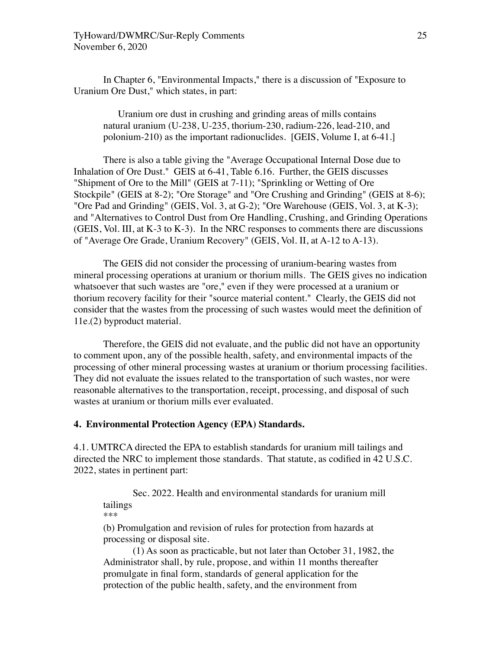In Chapter 6, "Environmental Impacts," there is a discussion of "Exposure to Uranium Ore Dust," which states, in part:

Uranium ore dust in crushing and grinding areas of mills contains natural uranium (U-238, U-235, thorium-230, radium-226, lead-210, and polonium-210) as the important radionuclides. [GEIS, Volume I, at 6-41.]

There is also a table giving the "Average Occupational Internal Dose due to Inhalation of Ore Dust." GEIS at 6-41, Table 6.16. Further, the GEIS discusses "Shipment of Ore to the Mill" (GEIS at 7-11); "Sprinkling or Wetting of Ore Stockpile" (GEIS at 8-2); "Ore Storage" and "Ore Crushing and Grinding" (GEIS at 8-6); "Ore Pad and Grinding" (GEIS, Vol. 3, at G-2); "Ore Warehouse (GEIS, Vol. 3, at K-3); and "Alternatives to Control Dust from Ore Handling, Crushing, and Grinding Operations (GEIS, Vol. III, at K-3 to K-3). In the NRC responses to comments there are discussions of "Average Ore Grade, Uranium Recovery" (GEIS, Vol. II, at A-12 to A-13).

The GEIS did not consider the processing of uranium-bearing wastes from mineral processing operations at uranium or thorium mills. The GEIS gives no indication whatsoever that such wastes are "ore," even if they were processed at a uranium or thorium recovery facility for their "source material content." Clearly, the GEIS did not consider that the wastes from the processing of such wastes would meet the definition of 11e.(2) byproduct material.

Therefore, the GEIS did not evaluate, and the public did not have an opportunity to comment upon, any of the possible health, safety, and environmental impacts of the processing of other mineral processing wastes at uranium or thorium processing facilities. They did not evaluate the issues related to the transportation of such wastes, nor were reasonable alternatives to the transportation, receipt, processing, and disposal of such wastes at uranium or thorium mills ever evaluated.

# **4. Environmental Protection Agency (EPA) Standards.**

4.1. UMTRCA directed the EPA to establish standards for uranium mill tailings and directed the NRC to implement those standards. That statute, as codified in 42 U.S.C. 2022, states in pertinent part:

Sec. 2022. Health and environmental standards for uranium mill tailings \*\*\*

(b) Promulgation and revision of rules for protection from hazards at processing or disposal site.

(1) As soon as practicable, but not later than October 31, 1982, the Administrator shall, by rule, propose, and within 11 months thereafter promulgate in final form, standards of general application for the protection of the public health, safety, and the environment from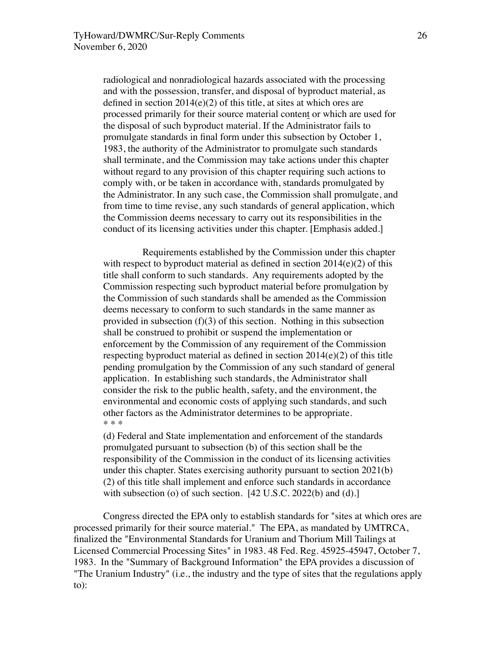radiological and nonradiological hazards associated with the processing and with the possession, transfer, and disposal of byproduct material, as defined in section  $2014(e)(2)$  of this title, at sites at which ores are processed primarily for their source material content or which are used for the disposal of such byproduct material. If the Administrator fails to promulgate standards in final form under this subsection by October 1, 1983, the authority of the Administrator to promulgate such standards shall terminate, and the Commission may take actions under this chapter without regard to any provision of this chapter requiring such actions to comply with, or be taken in accordance with, standards promulgated by the Administrator. In any such case, the Commission shall promulgate, and from time to time revise, any such standards of general application, which the Commission deems necessary to carry out its responsibilities in the conduct of its licensing activities under this chapter. [Emphasis added.]

 Requirements established by the Commission under this chapter with respect to byproduct material as defined in section  $2014(e)(2)$  of this title shall conform to such standards. Any requirements adopted by the Commission respecting such byproduct material before promulgation by the Commission of such standards shall be amended as the Commission deems necessary to conform to such standards in the same manner as provided in subsection  $(f)(3)$  of this section. Nothing in this subsection shall be construed to prohibit or suspend the implementation or enforcement by the Commission of any requirement of the Commission respecting byproduct material as defined in section 2014(e)(2) of this title pending promulgation by the Commission of any such standard of general application. In establishing such standards, the Administrator shall consider the risk to the public health, safety, and the environment, the environmental and economic costs of applying such standards, and such other factors as the Administrator determines to be appropriate. \* \* \*

(d) Federal and State implementation and enforcement of the standards promulgated pursuant to subsection (b) of this section shall be the responsibility of the Commission in the conduct of its licensing activities under this chapter. States exercising authority pursuant to section 2021(b) (2) of this title shall implement and enforce such standards in accordance with subsection (o) of such section.  $[42 \text{ U.S.C. } 2022(\text{b})$  and (d).

Congress directed the EPA only to establish standards for "sites at which ores are processed primarily for their source material." The EPA, as mandated by UMTRCA, finalized the "Environmental Standards for Uranium and Thorium Mill Tailings at Licensed Commercial Processing Sites" in 1983. 48 Fed. Reg. 45925-45947, October 7, 1983. In the "Summary of Background Information" the EPA provides a discussion of "The Uranium Industry" (i.e., the industry and the type of sites that the regulations apply to):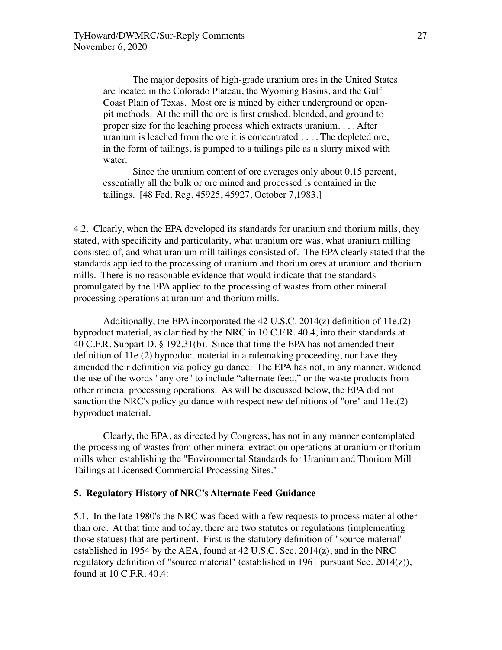The major deposits of high-grade uranium ores in the United States are located in the Colorado Plateau, the Wyoming Basins, and the Gulf Coast Plain of Texas. Most ore is mined by either underground or openpit methods. At the mill the ore is first crushed, blended, and ground to proper size for the leaching process which extracts uranium. . . . After uranium is leached from the ore it is concentrated . . . . The depleted ore, in the form of tailings, is pumped to a tailings pile as a slurry mixed with water.

Since the uranium content of ore averages only about 0.15 percent, essentially all the bulk or ore mined and processed is contained in the tailings. [48 Fed. Reg. 45925, 45927, October 7,1983.]

4.2. Clearly, when the EPA developed its standards for uranium and thorium mills, they stated, with specificity and particularity, what uranium ore was, what uranium milling consisted of, and what uranium mill tailings consisted of. The EPA clearly stated that the standards applied to the processing of uranium and thorium ores at uranium and thorium mills. There is no reasonable evidence that would indicate that the standards promulgated by the EPA applied to the processing of wastes from other mineral processing operations at uranium and thorium mills.

Additionally, the EPA incorporated the 42 U.S.C.  $2014(z)$  definition of 11e.(2) byproduct material, as clarified by the NRC in 10 C.F.R. 40.4, into their standards at 40 C.F.R. Subpart D, § 192.31(b). Since that time the EPA has not amended their definition of 11e.(2) byproduct material in a rulemaking proceeding, nor have they amended their definition via policy guidance. The EPA has not, in any manner, widened the use of the words "any ore" to include "alternate feed," or the waste products from other mineral processing operations. As will be discussed below, the EPA did not sanction the NRC's policy guidance with respect new definitions of "ore" and 11e.(2) byproduct material.

Clearly, the EPA, as directed by Congress, has not in any manner contemplated the processing of wastes from other mineral extraction operations at uranium or thorium mills when establishing the "Environmental Standards for Uranium and Thorium Mill Tailings at Licensed Commercial Processing Sites."

## **5. Regulatory History of NRC's Alternate Feed Guidance**

5.1. In the late 1980's the NRC was faced with a few requests to process material other than ore. At that time and today, there are two statutes or regulations (implementing those statues) that are pertinent. First is the statutory definition of "source material" established in 1954 by the AEA, found at 42 U.S.C. Sec. 2014(z), and in the NRC regulatory definition of "source material" (established in 1961 pursuant Sec.  $2014(z)$ ), found at 10 C.F.R. 40.4: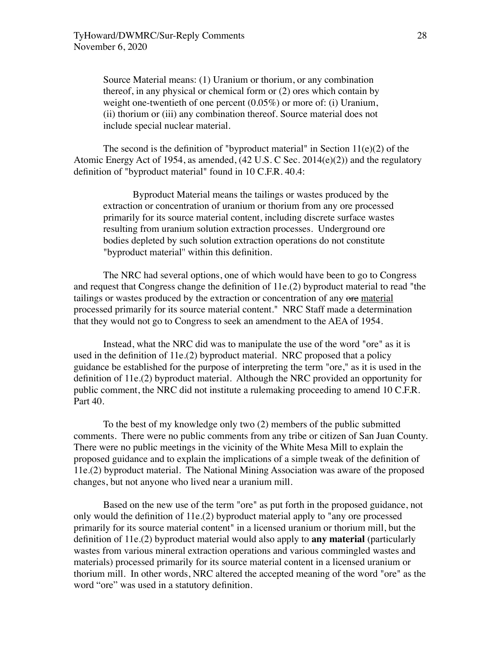Source Material means: (1) Uranium or thorium, or any combination thereof, in any physical or chemical form or (2) ores which contain by weight one-twentieth of one percent (0.05%) or more of: (i) Uranium, (ii) thorium or (iii) any combination thereof. Source material does not include special nuclear material.

The second is the definition of "byproduct material" in Section  $11(e)(2)$  of the Atomic Energy Act of 1954, as amended, (42 U.S. C Sec. 2014(e)(2)) and the regulatory definition of "byproduct material" found in 10 C.F.R. 40.4:

Byproduct Material means the tailings or wastes produced by the extraction or concentration of uranium or thorium from any ore processed primarily for its source material content, including discrete surface wastes resulting from uranium solution extraction processes. Underground ore bodies depleted by such solution extraction operations do not constitute "byproduct material'' within this definition.

The NRC had several options, one of which would have been to go to Congress and request that Congress change the definition of 11e.(2) byproduct material to read "the tailings or wastes produced by the extraction or concentration of any ore material processed primarily for its source material content." NRC Staff made a determination that they would not go to Congress to seek an amendment to the AEA of 1954.

Instead, what the NRC did was to manipulate the use of the word "ore" as it is used in the definition of 11e.(2) byproduct material. NRC proposed that a policy guidance be established for the purpose of interpreting the term "ore," as it is used in the definition of 11e.(2) byproduct material. Although the NRC provided an opportunity for public comment, the NRC did not institute a rulemaking proceeding to amend 10 C.F.R. Part 40.

To the best of my knowledge only two (2) members of the public submitted comments. There were no public comments from any tribe or citizen of San Juan County. There were no public meetings in the vicinity of the White Mesa Mill to explain the proposed guidance and to explain the implications of a simple tweak of the definition of 11e.(2) byproduct material. The National Mining Association was aware of the proposed changes, but not anyone who lived near a uranium mill.

Based on the new use of the term "ore" as put forth in the proposed guidance, not only would the definition of 11e.(2) byproduct material apply to "any ore processed primarily for its source material content" in a licensed uranium or thorium mill, but the definition of 11e.(2) byproduct material would also apply to **any material** (particularly wastes from various mineral extraction operations and various commingled wastes and materials) processed primarily for its source material content in a licensed uranium or thorium mill. In other words, NRC altered the accepted meaning of the word "ore" as the word "ore" was used in a statutory definition.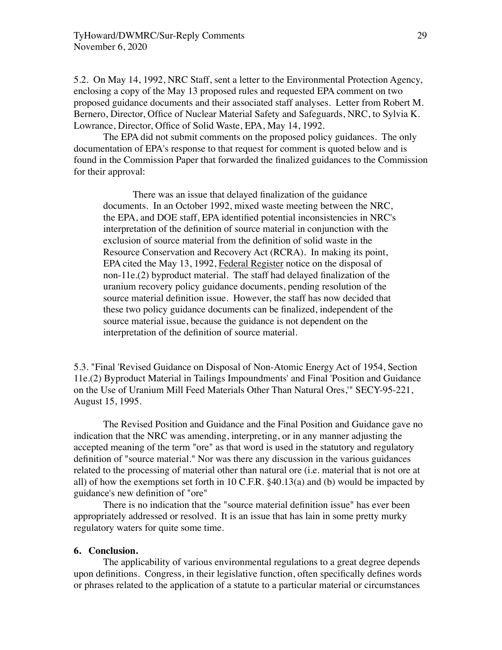5.2. On May 14, 1992, NRC Staff, sent a letter to the Environmental Protection Agency, enclosing a copy of the May 13 proposed rules and requested EPA comment on two proposed guidance documents and their associated staff analyses. Letter from Robert M. Bernero, Director, Office of Nuclear Material Safety and Safeguards, NRC, to Sylvia K. Lowrance, Director, Office of Solid Waste, EPA, May 14, 1992.

The EPA did not submit comments on the proposed policy guidances. The only documentation of EPA's response to that request for comment is quoted below and is found in the Commission Paper that forwarded the finalized guidances to the Commission for their approval:

There was an issue that delayed finalization of the guidance documents. In an October 1992, mixed waste meeting between the NRC, the EPA, and DOE staff, EPA identified potential inconsistencies in NRC's interpretation of the definition of source material in conjunction with the exclusion of source material from the definition of solid waste in the Resource Conservation and Recovery Act (RCRA). In making its point, EPA cited the May 13, 1992, Federal Register notice on the disposal of non-11e.(2) byproduct material. The staff had delayed finalization of the uranium recovery policy guidance documents, pending resolution of the source material definition issue. However, the staff has now decided that these two policy guidance documents can be finalized, independent of the source material issue, because the guidance is not dependent on the interpretation of the definition of source material.

5.3. "Final 'Revised Guidance on Disposal of Non-Atomic Energy Act of 1954, Section 11e.(2) Byproduct Material in Tailings Impoundments' and Final 'Position and Guidance on the Use of Uranium Mill Feed Materials Other Than Natural Ores,'" SECY-95-221, August 15, 1995.

The Revised Position and Guidance and the Final Position and Guidance gave no indication that the NRC was amending, interpreting, or in any manner adjusting the accepted meaning of the term "ore" as that word is used in the statutory and regulatory definition of "source material." Nor was there any discussion in the various guidances related to the processing of material other than natural ore (i.e. material that is not ore at all) of how the exemptions set forth in 10 C.F.R. §40.13(a) and (b) would be impacted by guidance's new definition of "ore"

There is no indication that the "source material definition issue" has ever been appropriately addressed or resolved. It is an issue that has lain in some pretty murky regulatory waters for quite some time.

### **6. Conclusion.**

The applicability of various environmental regulations to a great degree depends upon definitions. Congress, in their legislative function, often specifically defines words or phrases related to the application of a statute to a particular material or circumstances